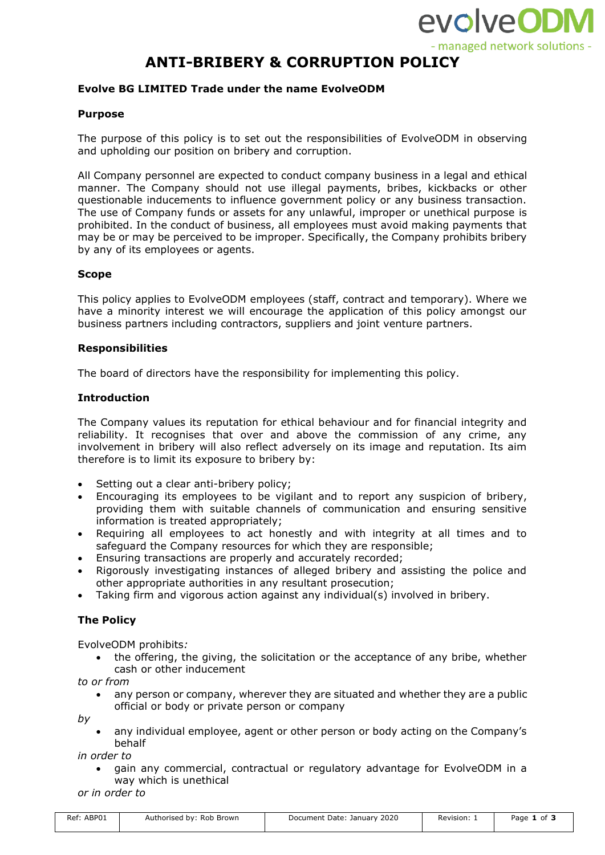

# **ANTI-BRIBERY & CORRUPTION POLICY**

## **Evolve BG LIMITED Trade under the name EvolveODM**

## **Purpose**

The purpose of this policy is to set out the responsibilities of EvolveODM in observing and upholding our position on bribery and corruption.

All Company personnel are expected to conduct company business in a legal and ethical manner. The Company should not use illegal payments, bribes, kickbacks or other questionable inducements to influence government policy or any business transaction. The use of Company funds or assets for any unlawful, improper or unethical purpose is prohibited. In the conduct of business, all employees must avoid making payments that may be or may be perceived to be improper. Specifically, the Company prohibits bribery by any of its employees or agents.

#### **Scope**

This policy applies to EvolveODM employees (staff, contract and temporary). Where we have a minority interest we will encourage the application of this policy amongst our business partners including contractors, suppliers and joint venture partners.

#### **Responsibilities**

The board of directors have the responsibility for implementing this policy.

#### **Introduction**

The Company values its reputation for ethical behaviour and for financial integrity and reliability. It recognises that over and above the commission of any crime, any involvement in bribery will also reflect adversely on its image and reputation. Its aim therefore is to limit its exposure to bribery by:

- Setting out a clear anti-bribery policy:
- Encouraging its employees to be vigilant and to report any suspicion of bribery, providing them with suitable channels of communication and ensuring sensitive information is treated appropriately;
- Requiring all employees to act honestly and with integrity at all times and to safeguard the Company resources for which they are responsible;
- Ensuring transactions are properly and accurately recorded;
- Rigorously investigating instances of alleged bribery and assisting the police and other appropriate authorities in any resultant prosecution;
- Taking firm and vigorous action against any individual(s) involved in bribery.

# **The Policy**

EvolveODM prohibits*:*

• the offering, the giving, the solicitation or the acceptance of any bribe, whether cash or other inducement

*to or from*

any person or company, wherever they are situated and whether they are a public official or body or private person or company

*by*

• any individual employee, agent or other person or body acting on the Company's behalf

*in order to*

• gain any commercial, contractual or regulatory advantage for EvolveODM in a way which is unethical

*or in order to*

| Ref: ABP01 | Authorised by: Rob Brown | Document Date: January 2020 | Revision: . | Page<br>L of |
|------------|--------------------------|-----------------------------|-------------|--------------|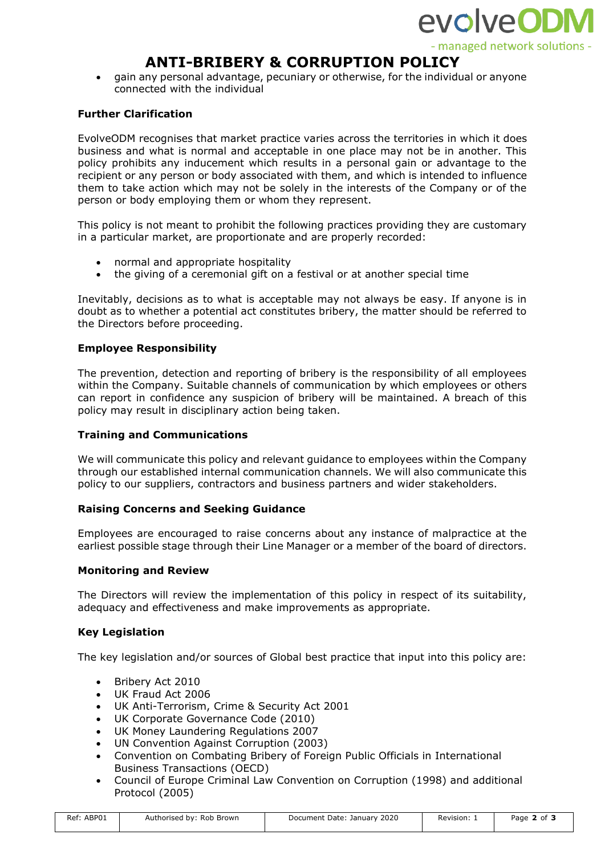

# **ANTI-BRIBERY & CORRUPTION POLICY**

• gain any personal advantage, pecuniary or otherwise, for the individual or anyone connected with the individual

# **Further Clarification**

EvolveODM recognises that market practice varies across the territories in which it does business and what is normal and acceptable in one place may not be in another. This policy prohibits any inducement which results in a personal gain or advantage to the recipient or any person or body associated with them, and which is intended to influence them to take action which may not be solely in the interests of the Company or of the person or body employing them or whom they represent.

This policy is not meant to prohibit the following practices providing they are customary in a particular market, are proportionate and are properly recorded:

- normal and appropriate hospitality
- the giving of a ceremonial gift on a festival or at another special time

Inevitably, decisions as to what is acceptable may not always be easy. If anyone is in doubt as to whether a potential act constitutes bribery, the matter should be referred to the Directors before proceeding.

# **Employee Responsibility**

The prevention, detection and reporting of bribery is the responsibility of all employees within the Company. Suitable channels of communication by which employees or others can report in confidence any suspicion of bribery will be maintained. A breach of this policy may result in disciplinary action being taken.

## **Training and Communications**

We will communicate this policy and relevant guidance to employees within the Company through our established internal communication channels. We will also communicate this policy to our suppliers, contractors and business partners and wider stakeholders.

## **Raising Concerns and Seeking Guidance**

Employees are encouraged to raise concerns about any instance of malpractice at the earliest possible stage through their Line Manager or a member of the board of directors.

## **Monitoring and Review**

The Directors will review the implementation of this policy in respect of its suitability, adequacy and effectiveness and make improvements as appropriate.

## **Key Legislation**

The key legislation and/or sources of Global best practice that input into this policy are:

- Bribery Act 2010
- UK Fraud Act 2006
- UK Anti-Terrorism, Crime & Security Act 2001
- UK Corporate Governance Code (2010)
- UK Money Laundering Regulations 2007
- UN Convention Against Corruption (2003)
- Convention on Combating Bribery of Foreign Public Officials in International Business Transactions (OECD)
- Council of Europe Criminal Law Convention on Corruption (1998) and additional Protocol (2005)